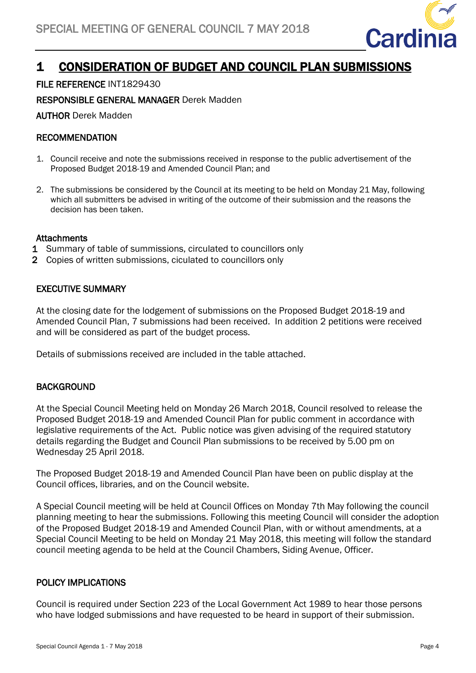

# 1 CONSIDERATION OF BUDGET AND COUNCIL PLAN SUBMISSIONS

## FILE REFERENCE INT1829430

RESPONSIBLE GENERAL MANAGER Derek Madden

AUTHOR Derek Madden

### RECOMMENDATION

- 1. Council receive and note the submissions received in response to the public advertisement of the Proposed Budget 2018-19 and Amended Council Plan; and
- 2. The submissions be considered by the Council at its meeting to be held on Monday 21 May, following which all submitters be advised in writing of the outcome of their submission and the reasons the decision has been taken.

#### **Attachments**

- 1 Summary of table of summissions, circulated to councillors only
- 2 Copies of written submissions, ciculated to councillors only

#### EXECUTIVE SUMMARY

At the closing date for the lodgement of submissions on the Proposed Budget 2018-19 and Amended Council Plan, 7 submissions had been received. In addition 2 petitions were received and will be considered as part of the budget process.

Details of submissions received are included in the table attached.

### **BACKGROUND**

At the Special Council Meeting held on Monday 26 March 2018, Council resolved to release the Proposed Budget 2018-19 and Amended Council Plan for public comment in accordance with legislative requirements of the Act. Public notice was given advising of the required statutory details regarding the Budget and Council Plan submissions to be received by 5.00 pm on Wednesday 25 April 2018.

The Proposed Budget 2018-19 and Amended Council Plan have been on public display at the Council offices, libraries, and on the Council website.

A Special Council meeting will be held at Council Offices on Monday 7th May following the council planning meeting to hear the submissions. Following this meeting Council will consider the adoption of the Proposed Budget 2018-19 and Amended Council Plan, with or without amendments, at a Special Council Meeting to be held on Monday 21 May 2018, this meeting will follow the standard council meeting agenda to be held at the Council Chambers, Siding Avenue, Officer.

### POLICY IMPLICATIONS

Council is required under Section 223 of the Local Government Act 1989 to hear those persons who have lodged submissions and have requested to be heard in support of their submission.